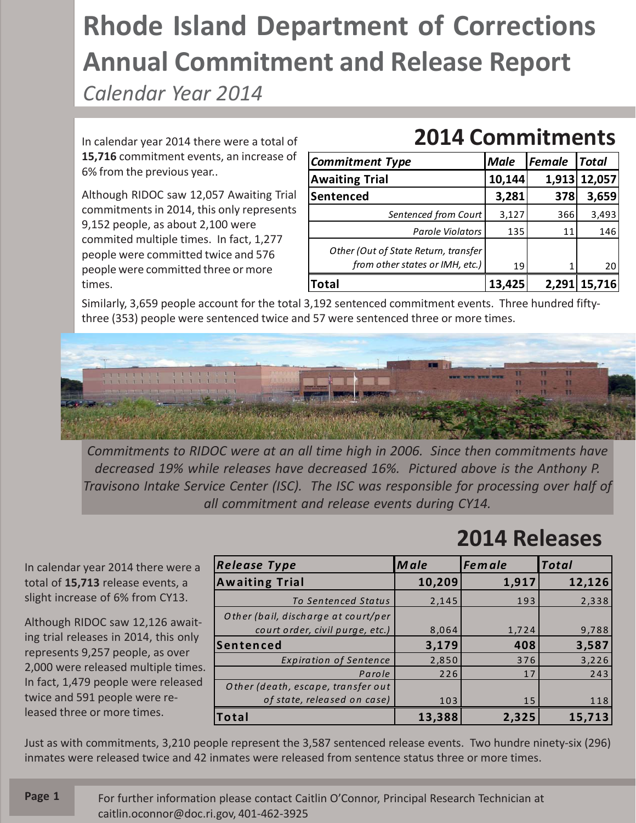## **Rhode Island Department of Corrections Annual Commitment and Release Report**

*Calendar Year 2014*

In calendar year 2014 there were a total of **15,716** commitment events, an increase of 6% from the previous year..

Although RIDOC saw 12,057 Awaiting Trial commitments in 2014, this only represents 9,152 people, as about 2,100 were commited multiple times. In fact, 1,277 people were committed twice and 576 people were committed three or more times.

## **2014 Commitments**

| <b>Commitment Type</b>                                                  | <b>Male</b> | Female | <b>Total</b> |
|-------------------------------------------------------------------------|-------------|--------|--------------|
| <b>Awaiting Trial</b>                                                   | 10,144      |        | 1,913 12,057 |
| Sentenced                                                               | 3,281       | 378    | 3,659        |
| Sentenced from Court                                                    | 3,127       | 366    | 3,493        |
| <b>Parole Violators</b>                                                 | 135         | 11     | 146          |
| Other (Out of State Return, transfer<br>from other states or IMH, etc.) | 19          |        | 20           |
|                                                                         |             | 2,291  | 15,716       |

Similarly, 3,659 people account for the total 3,192 sentenced commitment events. Three hundred fiftythree (353) people were sentenced twice and 57 were sentenced three or more times.



*Commitments to RIDOC were at an all time high in 2006. Since then commitments have decreased 19% while releases have decreased 16%. Pictured above is the Anthony P. Travisono Intake Service Center (ISC). The ISC was responsible for processing over half of all commitment and release events during CY14.*

**2014 Releases**

In calendar year 2014 there were a total of **15,713** release events, a slight increase of 6% from CY13.

Although RIDOC saw 12,126 awaiting trial releases in 2014, this only represents 9,257 people, as over 2,000 were released multiple times. In fact, 1,479 people were released twice and 591 people were released three or more times.

| <b>Release Type</b>                 | Male   | <b>Female</b> | <b>Total</b> |
|-------------------------------------|--------|---------------|--------------|
| <b>Awaiting Trial</b>               | 10,209 | 1,917         | 12,126       |
| To Sentenced Status                 | 2,145  | 193           | 2,338        |
| Other (bail, discharge at court/per |        |               |              |
| court order, civil purge, etc.)     | 8,064  | 1,724         | 9,788        |
| <b>Sentenced</b>                    | 3,179  | 408           | 3,587        |
| <b>Expiration of Sentence</b>       | 2,850  | 376           | 3,226        |
| Parole                              | 226    | 17            | 243          |
| Other (death, escape, transfer out  |        |               |              |
| of state, released on case)         | 103    | 15            | 118          |
| Total                               | 13,388 | 2,325         | 15,713       |

Just as with commitments, 3,210 people represent the 3,587 sentenced release events. Two hundre ninety-six (296) inmates were released twice and 42 inmates were released from sentence status three or more times.